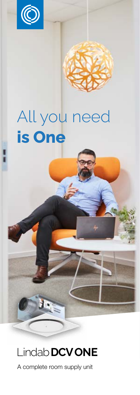

# All you need **is One**

## Lindab**DCVONE**

T

A complete room supply unit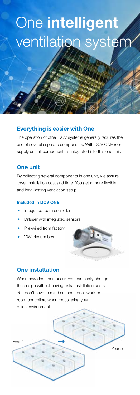# One intelligent ventilation system

### **Everything is easier with One**

The operation of other DCV systems generally requires the use of several separate components. With DCV ONE room supply unit all components is integrated into this one unit.

#### **One unit**

By collecting several components in one unit, we assure lower installation cost and time. You get a more flexible and long-lasting ventilation setup.

#### Included in DCV ONE:

- Integrated room controller
- Diffuser with integrated sensors
- Pre-wired from factory
- VAV plenum box

### **One installation**

When new demands occur, you can easily change the design without having extra installation costs. You don't have to mind sensors, duct-work or room controllers when redesigning your office environment.

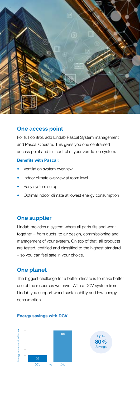

#### **One access point**

For full control, add Lindab Pascal System management and Pascal Operate. This gives you one centralised access point and full control of your ventilation system.

#### Benefits with Pascal:

- Ventilation system overview
- Indoor climate overview at room level
- Easy system setup
- Optimal indoor climate at lowest energy consumption

#### **One supplier**

Lindab provides a system where all parts fits and work together – from ducts, to air design, commissioning and management of your system. On top of that, all products are tested, certified and classified to the highest standard – so you can feel safe in your choice.

#### **One planet**

The biggest challenge for a better climate is to make better use of the resources we have. With a DCV system from Lindab you support world sustainability and low energy consumption.



#### Energy savings with DCV